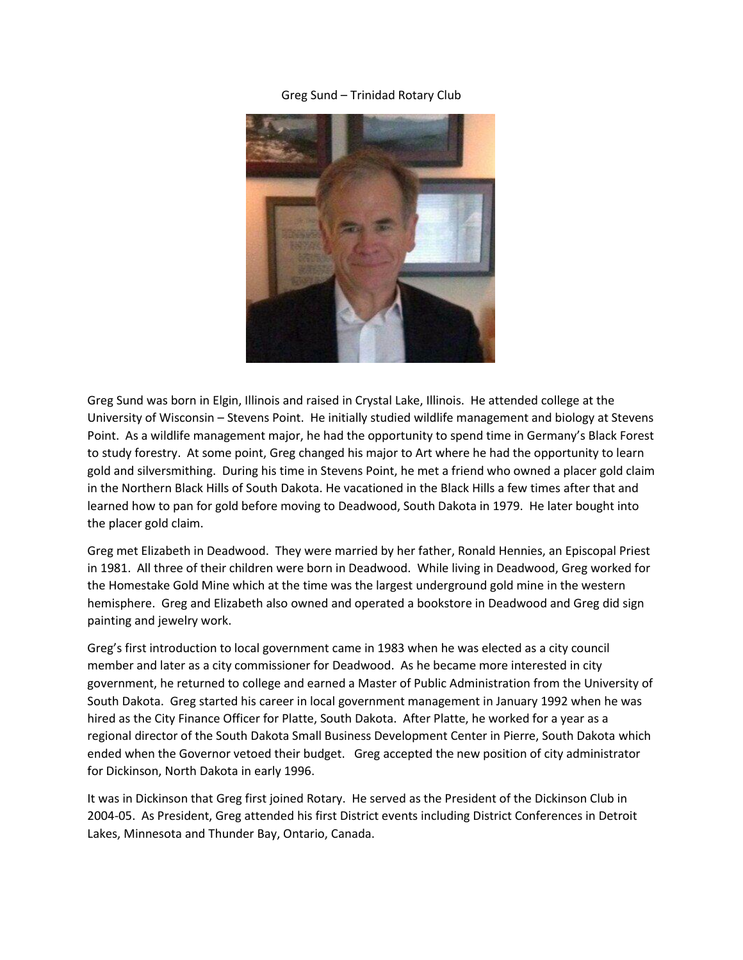## Greg Sund – Trinidad Rotary Club



Greg Sund was born in Elgin, Illinois and raised in Crystal Lake, Illinois. He attended college at the University of Wisconsin – Stevens Point. He initially studied wildlife management and biology at Stevens Point. As a wildlife management major, he had the opportunity to spend time in Germany's Black Forest to study forestry. At some point, Greg changed his major to Art where he had the opportunity to learn gold and silversmithing. During his time in Stevens Point, he met a friend who owned a placer gold claim in the Northern Black Hills of South Dakota. He vacationed in the Black Hills a few times after that and learned how to pan for gold before moving to Deadwood, South Dakota in 1979. He later bought into the placer gold claim.

Greg met Elizabeth in Deadwood. They were married by her father, Ronald Hennies, an Episcopal Priest in 1981. All three of their children were born in Deadwood. While living in Deadwood, Greg worked for the Homestake Gold Mine which at the time was the largest underground gold mine in the western hemisphere. Greg and Elizabeth also owned and operated a bookstore in Deadwood and Greg did sign painting and jewelry work.

Greg's first introduction to local government came in 1983 when he was elected as a city council member and later as a city commissioner for Deadwood. As he became more interested in city government, he returned to college and earned a Master of Public Administration from the University of South Dakota. Greg started his career in local government management in January 1992 when he was hired as the City Finance Officer for Platte, South Dakota. After Platte, he worked for a year as a regional director of the South Dakota Small Business Development Center in Pierre, South Dakota which ended when the Governor vetoed their budget. Greg accepted the new position of city administrator for Dickinson, North Dakota in early 1996.

It was in Dickinson that Greg first joined Rotary. He served as the President of the Dickinson Club in 2004-05. As President, Greg attended his first District events including District Conferences in Detroit Lakes, Minnesota and Thunder Bay, Ontario, Canada.